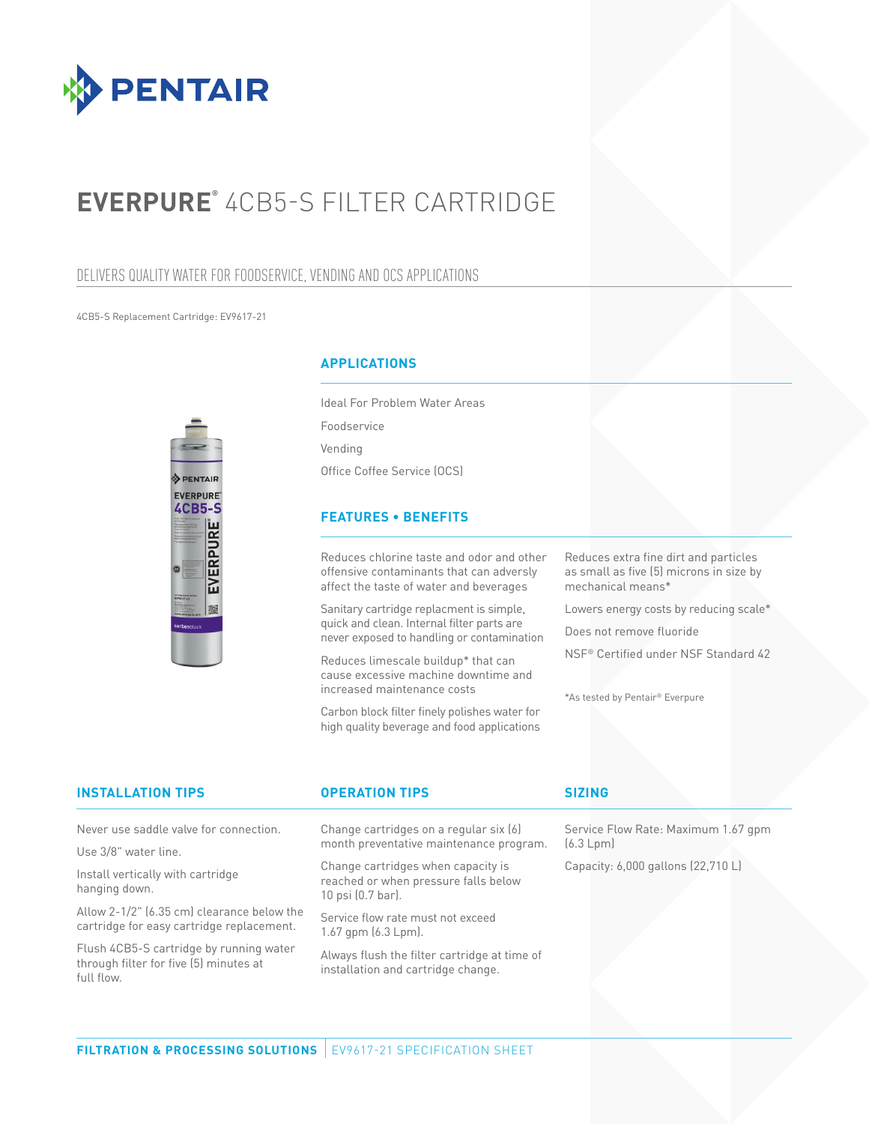

# **EVERPURE®** 4CB5-S FILTER CARTRIDGE

### DELIVERS QUALITY WATER FOR FOODSERVICE, VENDING AND OCS APPLICATIONS

4CB5-S Replacement Cartridge: EV9617-21



### **APPLICATIONS**

Ideal For Problem Water Areas Foodservice Vending Office Coffee Service (OCS)

### **FEATURES • BENEFITS**

Reduces chlorine taste and odor and other offensive contaminants that can adversly affect the taste of water and beverages

Sanitary cartridge replacment is simple, quick and clean. Internal filter parts are never exposed to handling or contamination

Reduces limescale buildup\* that can cause excessive machine downtime and increased maintenance costs

Carbon block filter finely polishes water for high quality beverage and food applications Reduces extra fine dirt and particles as small as five (5) microns in size by mechanical means\*

Lowers energy costs by reducing scale\*

Does not remove fluoride

NSF® Certified under NSF Standard 42

\*As tested by Pentair® Everpure

| <b>INSTALLATION TIPS</b>                                                                        | <b>OPERATION TIPS</b>                                                                           | <b>SIZING</b>                                    |
|-------------------------------------------------------------------------------------------------|-------------------------------------------------------------------------------------------------|--------------------------------------------------|
| Never use saddle valve for connection.                                                          | Change cartridges on a regular six (6)<br>month preventative maintenance program.               | Service Flow Rate: Maximum 1.67 gpm<br>(6.3 Lpm) |
| Use 3/8" water line.                                                                            |                                                                                                 |                                                  |
| Install vertically with cartridge<br>hanging down.                                              | Change cartridges when capacity is<br>reached or when pressure falls below<br>10 psi (0.7 bar). | Capacity: 6,000 gallons (22,710 L)               |
| Allow 2-1/2" (6.35 cm) clearance below the<br>cartridge for easy cartridge replacement.         | Service flow rate must not exceed<br>$1.67$ gpm $(6.3$ Lpm $)$ .                                |                                                  |
| Flush 4CB5-S cartridge by running water<br>through filter for five [5] minutes at<br>full flow. | Always flush the filter cartridge at time of<br>installation and cartridge change.              |                                                  |